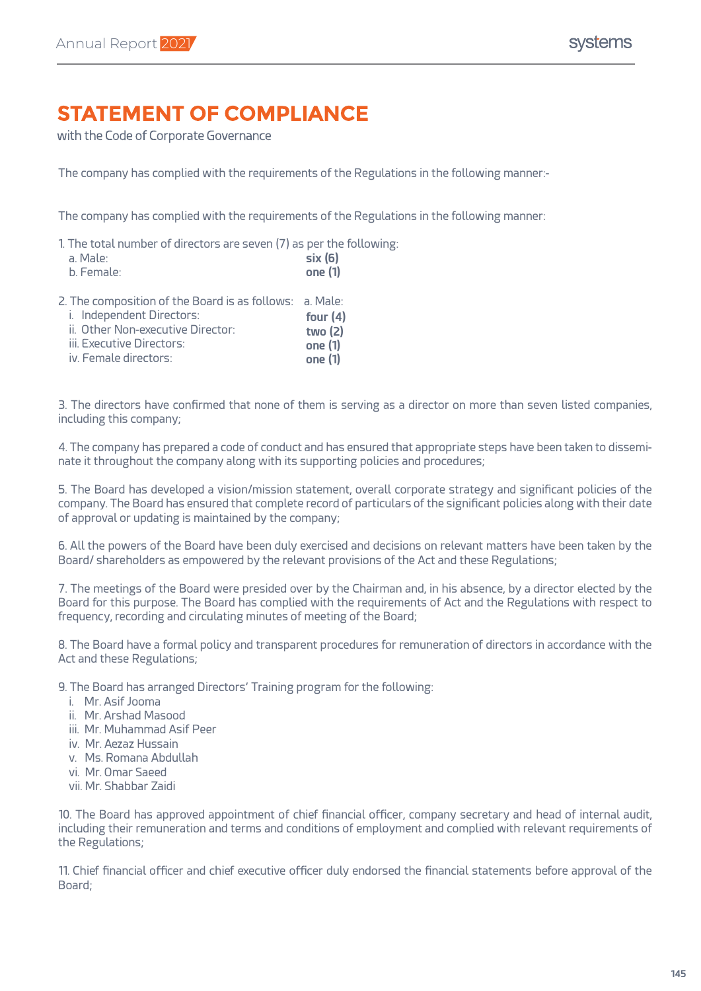## **STATEMENT OF COMPLIANCE**

with the Code of Corporate Governance

The company has complied with the requirements of the Regulations in the following manner:-

The company has complied with the requirements of the Regulations in the following manner:

1. The total number of directors are seven (7) as per the following:

| a. Male:                                                                             | six(6)     |
|--------------------------------------------------------------------------------------|------------|
| b. Female:                                                                           | one (1)    |
| 2. The composition of the Board is as follows: a. Male:<br>i. Independent Directors: | four $(4)$ |

| ii. Other Non-executive Director: | two $(2)$ |
|-----------------------------------|-----------|
| iii. Executive Directors:         | one (1)   |
| iv. Female directors:             | one (1)   |

3. The directors have confirmed that none of them is serving as a director on more than seven listed companies, including this company;

4. The company has prepared a code of conduct and has ensured that appropriate steps have been taken to disseminate it throughout the company along with its supporting policies and procedures;

5. The Board has developed a vision/mission statement, overall corporate strategy and significant policies of the company. The Board has ensured that complete record of particulars of the significant policies along with their date of approval or updating is maintained by the company;

6. All the powers of the Board have been duly exercised and decisions on relevant matters have been taken by the Board/ shareholders as empowered by the relevant provisions of the Act and these Regulations;

7. The meetings of the Board were presided over by the Chairman and, in his absence, by a director elected by the Board for this purpose. The Board has complied with the requirements of Act and the Regulations with respect to frequency, recording and circulating minutes of meeting of the Board;

8. The Board have a formal policy and transparent procedures for remuneration of directors in accordance with the Act and these Regulations;

9. The Board has arranged Directors' Training program for the following:

- i. Mr. Asif Jooma
- ii. Mr. Arshad Masood
- iii. Mr. Muhammad Asif Peer
- iv. Mr. Aezaz Hussain
- v. Ms. Romana Abdullah
- vi. Mr. Omar Saeed
- vii. Mr. Shabbar Zaidi

10. The Board has approved appointment of chief financial officer, company secretary and head of internal audit, including their remuneration and terms and conditions of employment and complied with relevant requirements of the Regulations;

11. Chief financial officer and chief executive officer duly endorsed the financial statements before approval of the Board;